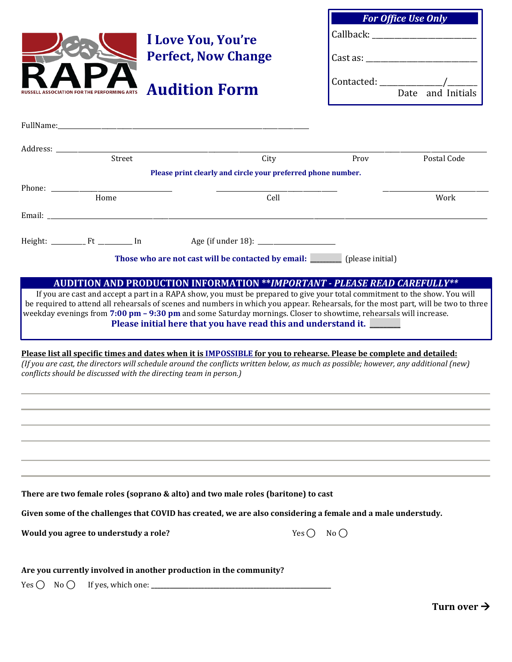|                                                                   | I Love You, You're<br><b>Perfect, Now Change</b>                                                                                                                                                                                                                                                                                                      |                            | <b>For Office Use Only</b>                                                                                      |  |
|-------------------------------------------------------------------|-------------------------------------------------------------------------------------------------------------------------------------------------------------------------------------------------------------------------------------------------------------------------------------------------------------------------------------------------------|----------------------------|-----------------------------------------------------------------------------------------------------------------|--|
|                                                                   |                                                                                                                                                                                                                                                                                                                                                       |                            | Callback: The Callback of the Callback of the Callback of the Callback of the Callback of the Callback of the C |  |
|                                                                   |                                                                                                                                                                                                                                                                                                                                                       |                            | $\text{Cast as:}\n$                                                                                             |  |
|                                                                   | <b>Audition Form</b>                                                                                                                                                                                                                                                                                                                                  |                            | $Control:$ $\qquad \qquad \qquad \qquad$<br>Date and Initials                                                   |  |
|                                                                   |                                                                                                                                                                                                                                                                                                                                                       |                            |                                                                                                                 |  |
|                                                                   | FullName: The Commission of the Commission of the Commission of the Commission of the Commission of the Commission of the Commission of the Commission of the Commission of the Commission of the Commission of the Commission                                                                                                                        |                            |                                                                                                                 |  |
|                                                                   |                                                                                                                                                                                                                                                                                                                                                       |                            |                                                                                                                 |  |
| Street                                                            | City                                                                                                                                                                                                                                                                                                                                                  | Prov                       | Postal Code                                                                                                     |  |
|                                                                   | Please print clearly and circle your preferred phone number.                                                                                                                                                                                                                                                                                          |                            |                                                                                                                 |  |
| Home                                                              | Cell                                                                                                                                                                                                                                                                                                                                                  |                            | Work                                                                                                            |  |
|                                                                   |                                                                                                                                                                                                                                                                                                                                                       |                            |                                                                                                                 |  |
|                                                                   |                                                                                                                                                                                                                                                                                                                                                       |                            |                                                                                                                 |  |
|                                                                   | Those who are not cast will be contacted by email: ________ (please initial)                                                                                                                                                                                                                                                                          |                            |                                                                                                                 |  |
|                                                                   | <b>AUDITION AND PRODUCTION INFORMATION **IMPORTANT - PLEASE READ CAREFULLY**</b><br>If you are cast and accept a part in a RAPA show, you must be prepared to give your total commitment to the show. You will<br>be required to attend all rehearsals of scenes and numbers in which you appear. Rehearsals, for the most part, will be two to three |                            |                                                                                                                 |  |
|                                                                   | weekday evenings from 7:00 pm – 9:30 pm and some Saturday mornings. Closer to showtime, rehearsals will increase.<br>Please initial here that you have read this and understand it.                                                                                                                                                                   |                            |                                                                                                                 |  |
| conflicts should be discussed with the directing team in person.) | Please list all specific times and dates when it is IMPOSSIBLE for you to rehearse. Please be complete and detailed:<br>(If you are cast, the directors will schedule around the conflicts written below, as much as possible; however, any additional (new)                                                                                          |                            |                                                                                                                 |  |
|                                                                   |                                                                                                                                                                                                                                                                                                                                                       |                            |                                                                                                                 |  |
|                                                                   |                                                                                                                                                                                                                                                                                                                                                       |                            |                                                                                                                 |  |
|                                                                   |                                                                                                                                                                                                                                                                                                                                                       |                            |                                                                                                                 |  |
|                                                                   | There are two female roles (soprano & alto) and two male roles (baritone) to cast                                                                                                                                                                                                                                                                     |                            |                                                                                                                 |  |
|                                                                   | Given some of the challenges that COVID has created, we are also considering a female and a male understudy.                                                                                                                                                                                                                                          |                            |                                                                                                                 |  |
| Would you agree to understudy a role?                             |                                                                                                                                                                                                                                                                                                                                                       | Yes $\bigcap$ No $\bigcap$ |                                                                                                                 |  |
| $No$ $\bigcirc$<br>Yes $\bigcirc$                                 | Are you currently involved in another production in the community?                                                                                                                                                                                                                                                                                    |                            |                                                                                                                 |  |
|                                                                   |                                                                                                                                                                                                                                                                                                                                                       |                            | Turn over $\rightarrow$                                                                                         |  |